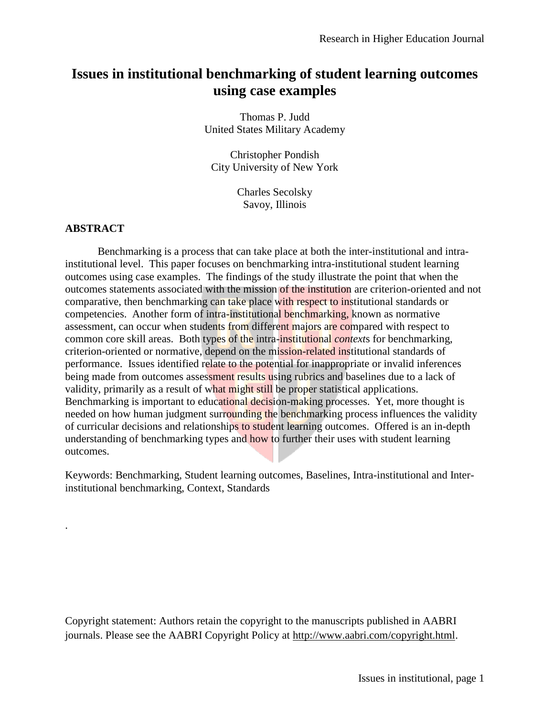# **Issues in institutional benchmarking of student learning outcomes using case examples**

Thomas P. Judd United States Military Academy

Christopher Pondish City University of New York

> Charles Secolsky Savoy, Illinois

## **ABSTRACT**

.

Benchmarking is a process that can take place at both the inter-institutional and intrainstitutional level. This paper focuses on benchmarking intra-institutional student learning outcomes using case examples. The findings of the study illustrate the point that when the outcomes statements associated with the mission of the institution are criterion-oriented and not comparative, then benchmarking can take place with respect to institutional standards or competencies. Another form of intra-institutional benchmarking, known as normative assessment, can occur when students from different majors are compared with respect to common core skill areas. Both types of the intra-institutional *context*s for benchmarking, criterion-oriented or normative, depend on the mission-related institutional standards of performance. Issues identified relate to the potential for inappropriate or invalid inferences being made from outcomes assessment results using rubrics and baselines due to a lack of validity, primarily as a result of what might still be proper statistical applications. Benchmarking is important to educational decision-making processes. Yet, more thought is needed on how human judgment surrounding the benchmarking process influences the validity of curricular decisions and relationships to student learning outcomes. Offered is an in-depth understanding of benchmarking types and how to further their uses with student learning outcomes.

Keywords: Benchmarking, Student learning outcomes, Baselines, Intra-institutional and Interinstitutional benchmarking, Context, Standards

Copyright statement: Authors retain the copyright to the manuscripts published in AABRI journals. Please see the AABRI Copyright Policy at [http://www.aabri.com/copyright.html.](http://www.aabri.com/copyright.html)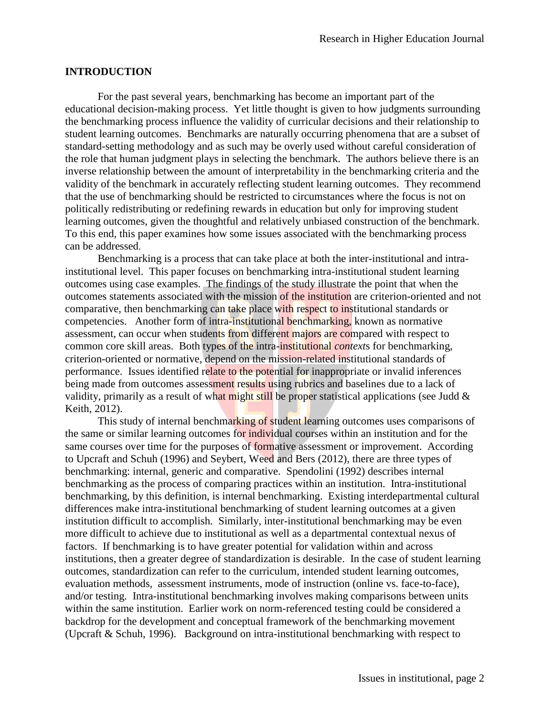#### **INTRODUCTION**

For the past several years, benchmarking has become an important part of the educational decision-making process. Yet little thought is given to how judgments surrounding the benchmarking process influence the validity of curricular decisions and their relationship to student learning outcomes. Benchmarks are naturally occurring phenomena that are a subset of standard-setting methodology and as such may be overly used without careful consideration of the role that human judgment plays in selecting the benchmark. The authors believe there is an inverse relationship between the amount of interpretability in the benchmarking criteria and the validity of the benchmark in accurately reflecting student learning outcomes. They recommend that the use of benchmarking should be restricted to circumstances where the focus is not on politically redistributing or redefining rewards in education but only for improving student learning outcomes, given the thoughtful and relatively unbiased construction of the benchmark. To this end, this paper examines how some issues associated with the benchmarking process can be addressed.

Benchmarking is a process that can take place at both the inter-institutional and intrainstitutional level. This paper focuses on benchmarking intra-institutional student learning outcomes using case examples. The findings of the study illustrate the point that when the outcomes statements associated with the mission of the institution are criterion-oriented and not comparative, then benchmarking can take place with respect to institutional standards or competencies. Another form of intra-institutional benchmarking, known as normative assessment, can occur when students from different majors are compared with respect to common core skill areas. Both types of the intra-institutional *context*s for benchmarking, criterion-oriented or normative, depend on the mission-related institutional standards of performance. Issues identified relate to the potential for inappropriate or invalid inferences being made from outcomes assessment results using rubrics and baselines due to a lack of validity, primarily as a result of what might still be proper statistical applications (see Judd  $\&$ Keith, 2012).

This study of internal benchmarking of student learning outcomes uses comparisons of the same or similar learning outcomes for individual courses within an institution and for the same courses over time for the purposes of formative assessment or improvement. According to Upcraft and Schuh (1996) and Seybert, Weed and Bers (2012), there are three types of benchmarking: internal, generic and comparative. Spendolini (1992) describes internal benchmarking as the process of comparing practices within an institution. Intra-institutional benchmarking, by this definition, is internal benchmarking. Existing interdepartmental cultural differences make intra-institutional benchmarking of student learning outcomes at a given institution difficult to accomplish. Similarly, inter-institutional benchmarking may be even more difficult to achieve due to institutional as well as a departmental contextual nexus of factors. If benchmarking is to have greater potential for validation within and across institutions, then a greater degree of standardization is desirable. In the case of student learning outcomes, standardization can refer to the curriculum, intended student learning outcomes, evaluation methods, assessment instruments, mode of instruction (online vs. face-to-face), and/or testing. Intra-institutional benchmarking involves making comparisons between units within the same institution. Earlier work on norm-referenced testing could be considered a backdrop for the development and conceptual framework of the benchmarking movement (Upcraft & Schuh, 1996). Background on intra-institutional benchmarking with respect to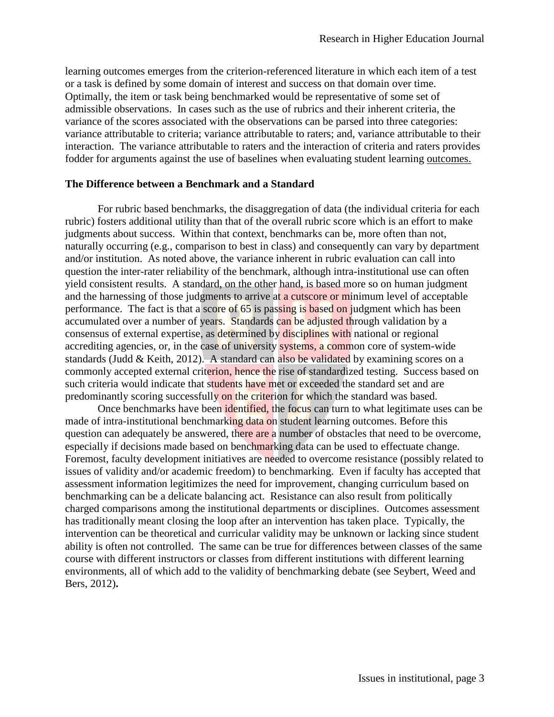learning outcomes emerges from the criterion-referenced literature in which each item of a test or a task is defined by some domain of interest and success on that domain over time. Optimally, the item or task being benchmarked would be representative of some set of admissible observations. In cases such as the use of rubrics and their inherent criteria, the variance of the scores associated with the observations can be parsed into three categories: variance attributable to criteria; variance attributable to raters; and, variance attributable to their interaction. The variance attributable to raters and the interaction of criteria and raters provides fodder for arguments against the use of baselines when evaluating student learning outcomes.

## **The Difference between a Benchmark and a Standard**

For rubric based benchmarks, the disaggregation of data (the individual criteria for each rubric) fosters additional utility than that of the overall rubric score which is an effort to make judgments about success. Within that context, benchmarks can be, more often than not, naturally occurring (e.g., comparison to best in class) and consequently can vary by department and/or institution. As noted above, the variance inherent in rubric evaluation can call into question the inter-rater reliability of the benchmark, although intra-institutional use can often yield consistent results. A standard, on the other hand, is based more so on human judgment and the harnessing of those judgments to arrive at a cutscore or minimum level of acceptable performance. The fact is that a score of  $65$  is passing is based on judgment which has been accumulated over a number of years. Standards can be adjusted through validation by a consensus of external expertise, as determined by disciplines with national or regional accrediting agencies, or, in the case of university systems, a common core of system-wide standards (Judd & Keith, 2012). A standard can also be validated by examining scores on a commonly accepted external criterion, hence the rise of standardized testing. Success based on such criteria would indicate that students have met or exceeded the standard set and are predominantly scoring successfully on the criterion for which the standard was based.

Once benchmarks have been identified, the focus can turn to what legitimate uses can be made of intra-institutional benchmarking data on student learning outcomes. Before this question can adequately be answered, there are a number of obstacles that need to be overcome, especially if decisions made based on benchmarking data can be used to effectuate change. Foremost, faculty development initiatives are needed to overcome resistance (possibly related to issues of validity and/or academic freedom) to benchmarking. Even if faculty has accepted that assessment information legitimizes the need for improvement, changing curriculum based on benchmarking can be a delicate balancing act. Resistance can also result from politically charged comparisons among the institutional departments or disciplines. Outcomes assessment has traditionally meant closing the loop after an intervention has taken place. Typically, the intervention can be theoretical and curricular validity may be unknown or lacking since student ability is often not controlled. The same can be true for differences between classes of the same course with different instructors or classes from different institutions with different learning environments, all of which add to the validity of benchmarking debate (see Seybert, Weed and Bers, 2012)**.**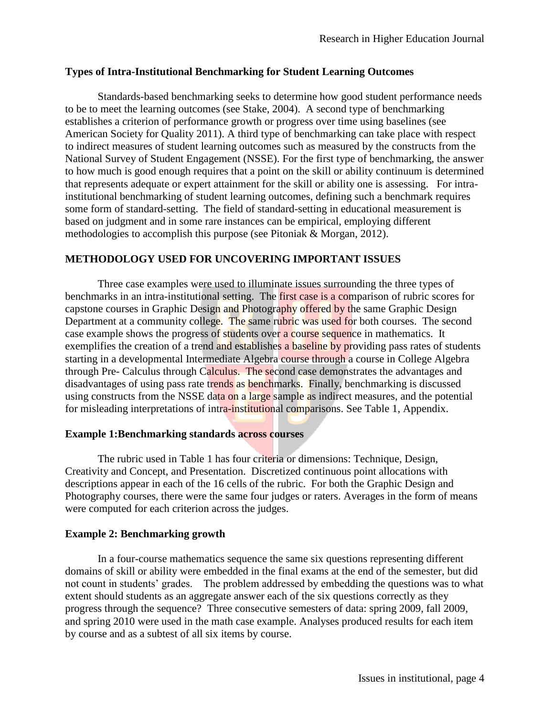# **Types of Intra-Institutional Benchmarking for Student Learning Outcomes**

Standards-based benchmarking seeks to determine how good student performance needs to be to meet the learning outcomes (see Stake, 2004). A second type of benchmarking establishes a criterion of performance growth or progress over time using baselines (see American Society for Quality 2011). A third type of benchmarking can take place with respect to indirect measures of student learning outcomes such as measured by the constructs from the National Survey of Student Engagement (NSSE). For the first type of benchmarking, the answer to how much is good enough requires that a point on the skill or ability continuum is determined that represents adequate or expert attainment for the skill or ability one is assessing. For intrainstitutional benchmarking of student learning outcomes, defining such a benchmark requires some form of standard-setting. The field of standard-setting in educational measurement is based on judgment and in some rare instances can be empirical, employing different methodologies to accomplish this purpose (see Pitoniak & Morgan, 2012).

# **METHODOLOGY USED FOR UNCOVERING IMPORTANT ISSUES**

Three case examples were used to illuminate issues surrounding the three types of benchmarks in an intra-institutional setting. The first case is a comparison of rubric scores for capstone courses in Graphic Design and Photography offered by the same Graphic Design Department at a community college. The same rubric was used for both courses. The second case example shows the progress of students over a course sequence in mathematics. It exemplifies the creation of a trend and establishes a baseline by providing pass rates of students starting in a developmental Intermediate Algebra course through a course in College Algebra through Pre- Calculus through Calculus. The second case demonstrates the advantages and disadvantages of using pass rate trends as benchmarks. Finally, benchmarking is discussed using constructs from the NSSE data on a large sample as indirect measures, and the potential for misleading interpretations of intra-institutional comparisons. See Table 1, Appendix.

## **Example 1:Benchmarking standards across courses**

The rubric used in Table 1 has four criteria or dimensions: Technique, Design, Creativity and Concept, and Presentation. Discretized continuous point allocations with descriptions appear in each of the 16 cells of the rubric. For both the Graphic Design and Photography courses, there were the same four judges or raters. Averages in the form of means were computed for each criterion across the judges.

## **Example 2: Benchmarking growth**

In a four-course mathematics sequence the same six questions representing different domains of skill or ability were embedded in the final exams at the end of the semester, but did not count in students' grades. The problem addressed by embedding the questions was to what extent should students as an aggregate answer each of the six questions correctly as they progress through the sequence? Three consecutive semesters of data: spring 2009, fall 2009, and spring 2010 were used in the math case example. Analyses produced results for each item by course and as a subtest of all six items by course.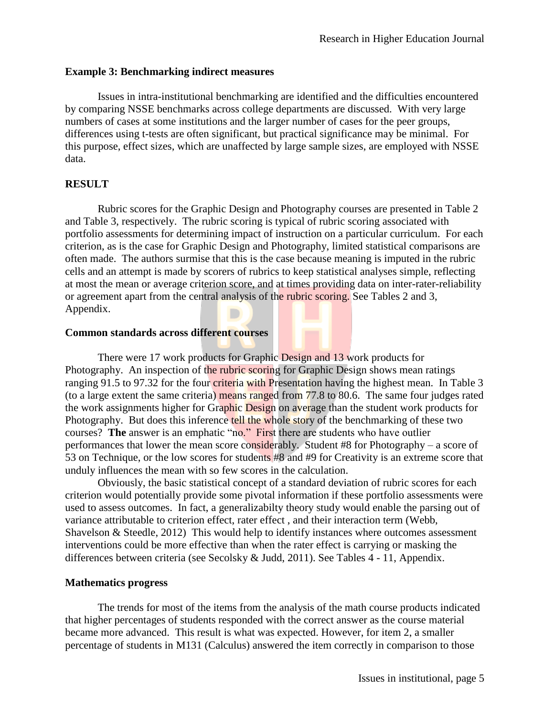#### **Example 3: Benchmarking indirect measures**

Issues in intra-institutional benchmarking are identified and the difficulties encountered by comparing NSSE benchmarks across college departments are discussed. With very large numbers of cases at some institutions and the larger number of cases for the peer groups, differences using t-tests are often significant, but practical significance may be minimal. For this purpose, effect sizes, which are unaffected by large sample sizes, are employed with NSSE data.

### **RESULT**

Rubric scores for the Graphic Design and Photography courses are presented in Table 2 and Table 3, respectively. The rubric scoring is typical of rubric scoring associated with portfolio assessments for determining impact of instruction on a particular curriculum. For each criterion, as is the case for Graphic Design and Photography, limited statistical comparisons are often made. The authors surmise that this is the case because meaning is imputed in the rubric cells and an attempt is made by scorers of rubrics to keep statistical analyses simple, reflecting at most the mean or average criterion score, and at times providing data on inter-rater-reliability or agreement apart from the central analysis of the rubric scoring. See Tables 2 and 3, Appendix.

#### **Common standards across different courses**

There were 17 work products for Graphic Design and 13 work products for Photography. An inspection of the rubric scoring for Graphic Design shows mean ratings ranging 91.5 to 97.32 for the four criteria with Presentation having the highest mean. In Table 3 (to a large extent the same criteria) means ranged from 77.8 to 80.6. The same four judges rated the work assignments higher for Graphic Design on average than the student work products for Photography. But does this inference tell the whole story of the benchmarking of these two courses? **The** answer is an emphatic "no." First there are students who have outlier performances that lower the mean score considerably. Student #8 for Photography – a score of 53 on Technique, or the low scores for students #8 and #9 for Creativity is an extreme score that unduly influences the mean with so few scores in the calculation.

Obviously, the basic statistical concept of a standard deviation of rubric scores for each criterion would potentially provide some pivotal information if these portfolio assessments were used to assess outcomes. In fact, a generalizabilty theory study would enable the parsing out of variance attributable to criterion effect, rater effect , and their interaction term (Webb, Shavelson & Steedle, 2012) This would help to identify instances where outcomes assessment interventions could be more effective than when the rater effect is carrying or masking the differences between criteria (see Secolsky & Judd, 2011). See Tables 4 - 11, Appendix.

## **Mathematics progress**

The trends for most of the items from the analysis of the math course products indicated that higher percentages of students responded with the correct answer as the course material became more advanced. This result is what was expected. However, for item 2, a smaller percentage of students in M131 (Calculus) answered the item correctly in comparison to those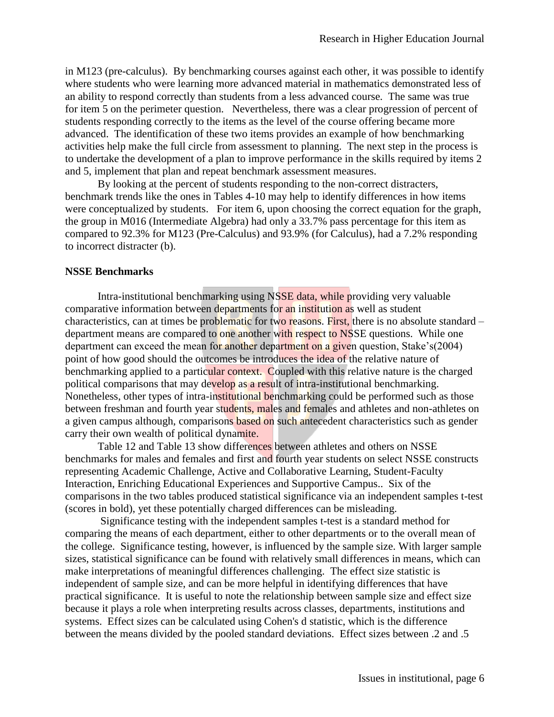in M123 (pre-calculus). By benchmarking courses against each other, it was possible to identify where students who were learning more advanced material in mathematics demonstrated less of an ability to respond correctly than students from a less advanced course. The same was true for item 5 on the perimeter question. Nevertheless, there was a clear progression of percent of students responding correctly to the items as the level of the course offering became more advanced. The identification of these two items provides an example of how benchmarking activities help make the full circle from assessment to planning. The next step in the process is to undertake the development of a plan to improve performance in the skills required by items 2 and 5, implement that plan and repeat benchmark assessment measures.

By looking at the percent of students responding to the non-correct distracters, benchmark trends like the ones in Tables 4-10 may help to identify differences in how items were conceptualized by students. For item 6, upon choosing the correct equation for the graph, the group in M016 (Intermediate Algebra) had only a 33.7% pass percentage for this item as compared to 92.3% for M123 (Pre-Calculus) and 93.9% (for Calculus), had a 7.2% responding to incorrect distracter (b).

#### **NSSE Benchmarks**

Intra-institutional benchmarking using NSSE data, while providing very valuable comparative information between departments for an institution as well as student characteristics, can at times be problematic for two reasons. First, there is no absolute standard  $$ department means are compared to one another with respect to NSSE questions. While one department can exceed the mean for another department on a given question, Stake's(2004) point of how good should the outcomes be introduces the idea of the relative nature of benchmarking applied to a particular context. Coupled with this relative nature is the charged political comparisons that may develop as a result of intra-institutional benchmarking. Nonetheless, other types of intra-institutional benchmarking could be performed such as those between freshman and fourth year students, males and females and athletes and non-athletes on a given campus although, comparisons based on such antecedent characteristics such as gender carry their own wealth of political dynamite.

Table 12 and Table 13 show differences between athletes and others on NSSE benchmarks for males and females and first and fourth year students on select NSSE constructs representing Academic Challenge, Active and Collaborative Learning, Student-Faculty Interaction, Enriching Educational Experiences and Supportive Campus.. Six of the comparisons in the two tables produced statistical significance via an independent samples t-test (scores in bold), yet these potentially charged differences can be misleading.

Significance testing with the independent samples t-test is a standard method for comparing the means of each department, either to other departments or to the overall mean of the college. Significance testing, however, is influenced by the sample size. With larger sample sizes, statistical significance can be found with relatively small differences in means, which can make interpretations of meaningful differences challenging. The effect size statistic is independent of sample size, and can be more helpful in identifying differences that have practical significance. It is useful to note the relationship between sample size and effect size because it plays a role when interpreting results across classes, departments, institutions and systems. Effect sizes can be calculated using Cohen's d statistic, which is the difference between the means divided by the pooled standard deviations. Effect sizes between .2 and .5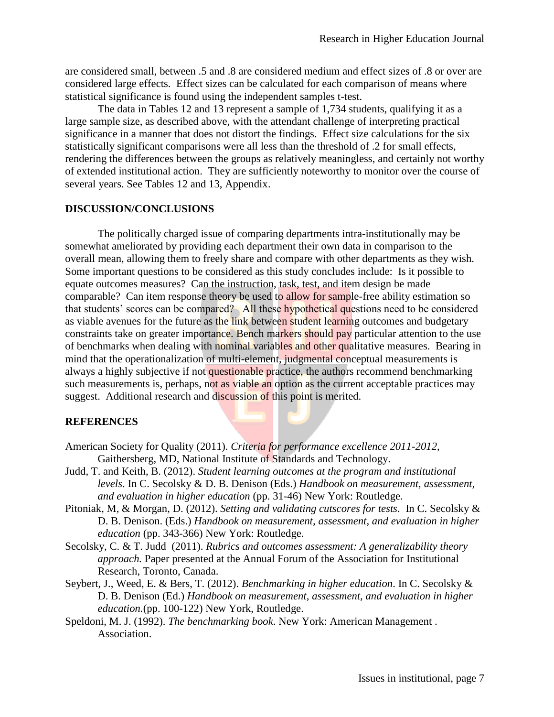are considered small, between .5 and .8 are considered medium and effect sizes of .8 or over are considered large effects. Effect sizes can be calculated for each comparison of means where statistical significance is found using the independent samples t-test.

The data in Tables 12 and 13 represent a sample of 1,734 students, qualifying it as a large sample size, as described above, with the attendant challenge of interpreting practical significance in a manner that does not distort the findings. Effect size calculations for the six statistically significant comparisons were all less than the threshold of .2 for small effects, rendering the differences between the groups as relatively meaningless, and certainly not worthy of extended institutional action. They are sufficiently noteworthy to monitor over the course of several years. See Tables 12 and 13, Appendix.

#### **DISCUSSION/CONCLUSIONS**

The politically charged issue of comparing departments intra-institutionally may be somewhat ameliorated by providing each department their own data in comparison to the overall mean, allowing them to freely share and compare with other departments as they wish. Some important questions to be considered as this study concludes include: Is it possible to equate outcomes measures? Can the instruction, task, test, and item design be made comparable? Can item response theory be used to allow for sample-free ability estimation so that students' scores can be compared? All these hypothetical questions need to be considered as viable avenues for the future as the link between student learning outcomes and budgetary constraints take on greater importance. Bench markers should pay particular attention to the use of benchmarks when dealing with nominal variables and other qualitative measures. Bearing in mind that the operationalization of multi-element, judgmental conceptual measurements is always a highly subjective if not questionable practice, the authors recommend benchmarking such measurements is, perhaps, not as viable an option as the current acceptable practices may suggest. Additional research and discussion of this point is merited.

#### **REFERENCES**

- American Society for Quality (2011). *Criteria for performance excellence 2011-2012*, Gaithersberg, MD, National Institute of Standards and Technology.
- Judd, T. and Keith, B. (2012). *Student learning outcomes at the program and institutional levels*. In C. Secolsky & D. B. Denison (Eds.) *Handbook on measurement, assessment, and evaluation in higher education* (pp. 31-46) New York: Routledge.
- Pitoniak, M, & Morgan, D. (2012). *Setting and validating cutscores for tests*. In C. Secolsky & D. B. Denison. (Eds.) *H*a*ndbook on measurement, assessment, and evaluation in higher education* (pp. 343-366) New York: Routledge.
- Secolsky, C. & T. Judd (2011). *Rubrics and outcomes assessment: A generalizability theory approach.* Paper presented at the Annual Forum of the Association for Institutional Research, Toronto, Canada.
- Seybert, J., Weed, E. & Bers, T. (2012). *Benchmarking in higher education*. In C. Secolsky & D. B. Denison (Ed.) *Handbook on measurement, assessment, and evaluation in higher education.*(pp. 100-122) New York, Routledge.
- Speldoni, M. J. (1992). *The benchmarking book*. New York: American Management . Association.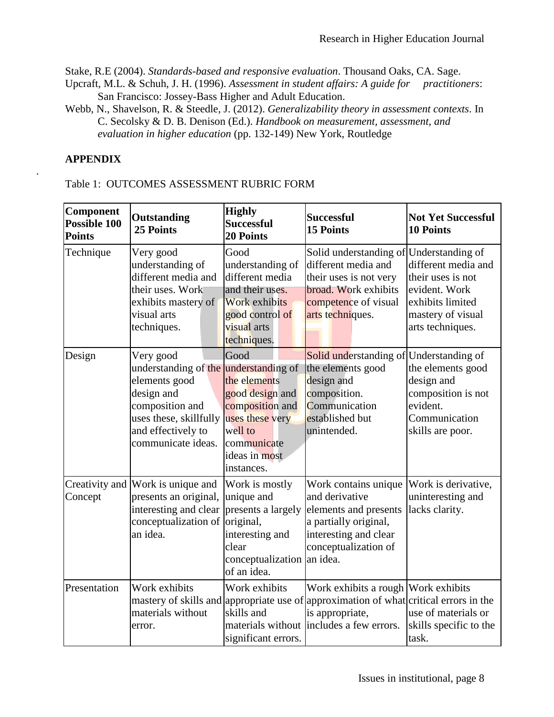Stake, R.E (2004). *Standards-based and responsive evaluation*. Thousand Oaks, CA. Sage.

- Upcraft, M.L. & Schuh, J. H. (1996). *Assessment in student affairs: A guide for practitioners*: San Francisco: Jossey-Bass Higher and Adult Education.
- Webb, N., Shavelson, R. & Steedle, J. (2012). *Generalizability theory in assessment contexts*. In C. Secolsky & D. B. Denison (Ed.). *Handbook on measurement, assessment, and evaluation in higher education* (pp. 132-149) New York, Routledge

# **APPENDIX**

*.*

Table 1: OUTCOMES ASSESSMENT RUBRIC FORM

| Component<br>Possible 100<br><b>Points</b> | <b>Outstanding</b><br>25 Points                                                                                                                           | <b>Highly</b><br><b>Successful</b><br><b>20 Points</b>                                                                                                     | <b>Successful</b><br><b>15 Points</b>                                                                                                                        | <b>Not Yet Successful</b><br><b>10 Points</b>                                                                          |
|--------------------------------------------|-----------------------------------------------------------------------------------------------------------------------------------------------------------|------------------------------------------------------------------------------------------------------------------------------------------------------------|--------------------------------------------------------------------------------------------------------------------------------------------------------------|------------------------------------------------------------------------------------------------------------------------|
| Technique                                  | Very good<br>understanding of<br>different media and<br>their uses. Work<br>exhibits mastery of<br>visual arts<br>techniques.                             | Good<br>understanding of<br>different media<br>and their uses.<br><b>Work exhibits</b><br>good control of<br>visual arts<br>techniques.                    | Solid understanding of Understanding of<br>different media and<br>their uses is not very<br>broad. Work exhibits<br>competence of visual<br>arts techniques. | different media and<br>their uses is not<br>evident. Work<br>exhibits limited<br>mastery of visual<br>arts techniques. |
| Design                                     | Very good<br>understanding of the<br>elements good<br>design and<br>composition and<br>uses these, skillfully<br>and effectively to<br>communicate ideas. | Good<br>understanding of<br>the elements<br>good design and<br>composition and<br>uses these very<br>well to<br>communicate<br>ideas in most<br>instances. | Solid understanding of Understanding of<br>the elements good<br>design and<br>composition.<br>Communication<br>established but<br>unintended.                | the elements good<br>design and<br>composition is not<br>evident.<br>Communication<br>skills are poor.                 |
| Concept                                    | Creativity and Work is unique and<br>presents an original,<br>interesting and clear<br>conceptualization of<br>an idea.                                   | Work is mostly<br>unique and<br>presents a largely<br>original,<br>interesting and<br>clear<br>conceptualization an idea.<br>of an idea.                   | Work contains unique<br>and derivative<br>elements and presents<br>a partially original,<br>interesting and clear<br>conceptualization of                    | Work is derivative,<br>uninteresting and<br>lacks clarity.                                                             |
| Presentation                               | Work exhibits<br>mastery of skills and appropriate use of<br>materials without<br>error.                                                                  | Work exhibits<br>skills and<br>significant errors.                                                                                                         | Work exhibits a rough Work exhibits<br>approximation of what critical errors in the<br>is appropriate,<br>materials without includes a few errors.           | use of materials or<br>skills specific to the<br>task.                                                                 |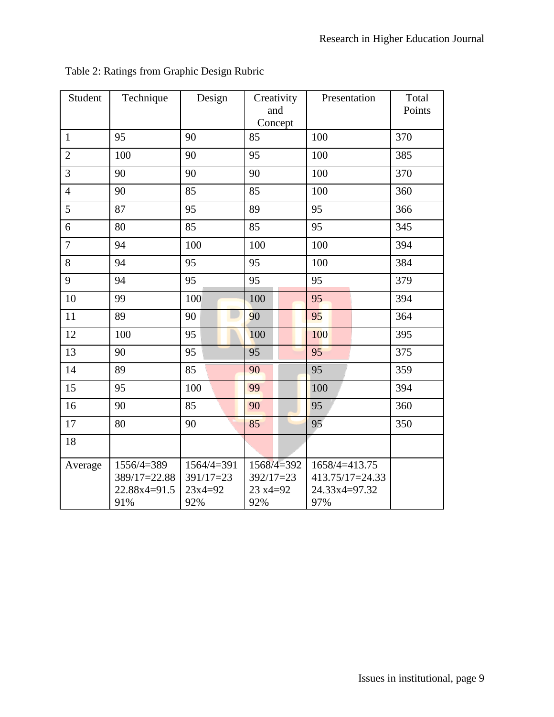| Student        | Technique                                           | Design                                          | Creativity<br>and<br>Concept                 | Presentation                                             | Total<br>Points |
|----------------|-----------------------------------------------------|-------------------------------------------------|----------------------------------------------|----------------------------------------------------------|-----------------|
| $\mathbf{1}$   | 95                                                  | 90                                              | 85                                           | 100                                                      | 370             |
| $\overline{2}$ | 100                                                 | 90                                              | 95                                           | 100                                                      | 385             |
| 3              | 90                                                  | 90                                              | 90                                           | 100                                                      | 370             |
| $\overline{4}$ | 90                                                  | 85                                              | 85                                           | 100                                                      | 360             |
| 5              | 87                                                  | 95                                              | 89                                           | 95                                                       | 366             |
| 6              | 80                                                  | 85                                              | 85                                           | 95                                                       | 345             |
| $\overline{7}$ | 94                                                  | 100                                             | 100                                          | 100                                                      | 394             |
| 8              | 94                                                  | 95                                              | 95                                           | 100                                                      | 384             |
| 9              | 94                                                  | 95                                              | 95                                           | 95                                                       | 379             |
| 10             | 99                                                  | 100                                             | 100                                          | 95                                                       | 394             |
| 11             | 89                                                  | 90                                              | 90                                           | 95                                                       | 364             |
| 12             | 100                                                 | 95                                              | 100                                          | 100                                                      | 395             |
| 13             | 90                                                  | 95                                              | 95                                           | 95                                                       | 375             |
| 14             | 89                                                  | 85                                              | 90                                           | 95                                                       | 359             |
| 15             | 95                                                  | 100                                             | 99                                           | 100                                                      | 394             |
| 16             | 90                                                  | 85                                              | 90                                           | 95                                                       | 360             |
| 17             | 80                                                  | 90                                              | 85                                           | 95                                                       | 350             |
| 18             |                                                     |                                                 |                                              |                                                          |                 |
| Average        | 1556/4=389<br>389/17=22.88<br>$22.88x4=91.5$<br>91% | $1564/4=391$<br>$391/17=23$<br>$23x4=92$<br>92% | 1568/4=392<br>$392/17=23$<br>23 x4=92<br>92% | 1658/4=413.75<br>413.75/17=24.33<br>24.33x4=97.32<br>97% |                 |

Table 2: Ratings from Graphic Design Rubric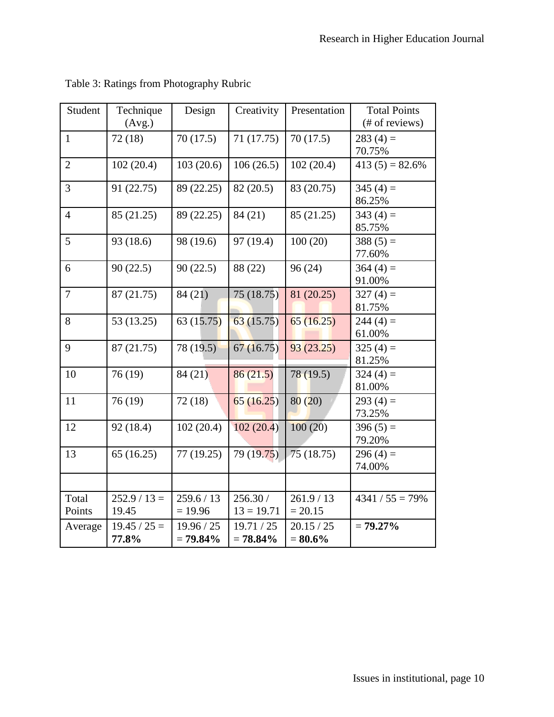| Student         | Technique<br>(Avg.)     | Design                    | Creativity                | Presentation             | <b>Total Points</b><br>(# of reviews) |
|-----------------|-------------------------|---------------------------|---------------------------|--------------------------|---------------------------------------|
| $\mathbf{1}$    | 72(18)                  | 70(17.5)                  | 71 (17.75)                | 70(17.5)                 | $283(4) =$<br>70.75%                  |
| $\overline{2}$  | 102(20.4)               | 103(20.6)                 | 106(26.5)                 | 102(20.4)                | $413(5) = 82.6%$                      |
| 3               | 91 (22.75)              | 89 (22.25)                | 82 (20.5)                 | 83 (20.75)               | $345(4) =$<br>86.25%                  |
| $\overline{4}$  | 85 (21.25)              | 89 (22.25)                | 84 (21)                   | 85 (21.25)               | $343(4) =$<br>85.75%                  |
| 5               | 93 (18.6)               | 98 (19.6)                 | 97 (19.4)                 | 100(20)                  | $388(5) =$<br>77.60%                  |
| 6               | 90(22.5)                | 90(22.5)                  | 88 (22)                   | 96(24)                   | $364(4) =$<br>91.00%                  |
| $\tau$          | 87 (21.75)              | 84(21)                    | 75(18.75)                 | 81 (20.25)               | $327(4) =$<br>81.75%                  |
| 8               | 53 (13.25)              | 63(15.75)                 | 63(15.75)                 | 65(16.25)                | $244(4) =$<br>61.00%                  |
| 9               | 87 (21.75)              | 78 (19.5)                 | 67(16.75)                 | 93(23.25)                | $325(4) =$<br>81.25%                  |
| 10              | 76(19)                  | 84(21)                    | 86(21.5)                  | 78 (19.5)                | $324(4) =$<br>81.00%                  |
| 11              | 76(19)                  | 72(18)                    | 65(16.25)                 | 80(20)                   | 293 $(4)$ =<br>73.25%                 |
| 12              | 92 (18.4)               | 102(20.4)                 | 102(20.4)                 | 100(20)                  | $396(5) =$<br>79.20%                  |
| 13              | 65(16.25)               | 77(19.25)                 | 79 (19.75)                | 75 (18.75)               | $296(4) =$<br>74.00%                  |
|                 |                         |                           |                           |                          |                                       |
| Total<br>Points | $252.9 / 13 =$<br>19.45 | 259.6 / 13<br>$= 19.96$   | 256.30 /<br>$13 = 19.71$  | 261.9 / 13<br>$= 20.15$  | $4341 / 55 = 79\%$                    |
| Average         | $19.45 / 25 =$<br>77.8% | 19.96 / 25<br>$= 79.84\%$ | 19.71 / 25<br>$= 78.84\%$ | 20.15 / 25<br>$= 80.6\%$ | $= 79.27\%$                           |

Table 3: Ratings from Photography Rubric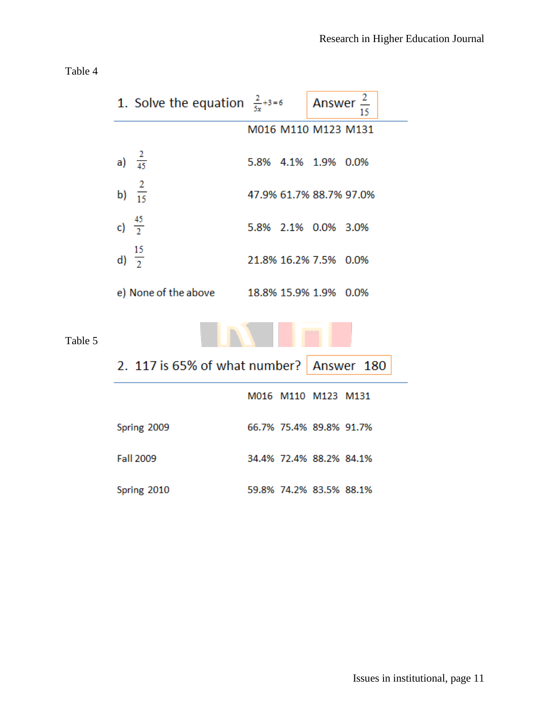Table 4

Table 5

| 1. Solve the equation $\frac{2}{5x}+3=6$   |  | Answer $\frac{2}{15}$   |                         |
|--------------------------------------------|--|-------------------------|-------------------------|
|                                            |  | M016 M110 M123 M131     |                         |
| a) $\frac{2}{45}$                          |  | 5.8% 4.1% 1.9% 0.0%     |                         |
| b) $\frac{2}{15}$                          |  |                         | 47.9% 61.7% 88.7% 97.0% |
| c) $\frac{45}{2}$                          |  | 5.8% 2.1% 0.0% 3.0%     |                         |
| d) $\frac{15}{2}$                          |  | 21.8% 16.2% 7.5% 0.0%   |                         |
| e) None of the above 18.8% 15.9% 1.9% 0.0% |  |                         |                         |
|                                            |  |                         |                         |
| 2. 117 is 65% of what number? Answer 180   |  |                         |                         |
|                                            |  | M016 M110 M123 M131     |                         |
| Spring 2009                                |  | 66.7% 75.4% 89.8% 91.7% |                         |
| <b>Fall 2009</b>                           |  | 34.4% 72.4% 88.2% 84.1% |                         |
| Spring 2010                                |  | 59.8% 74.2% 83.5% 88.1% |                         |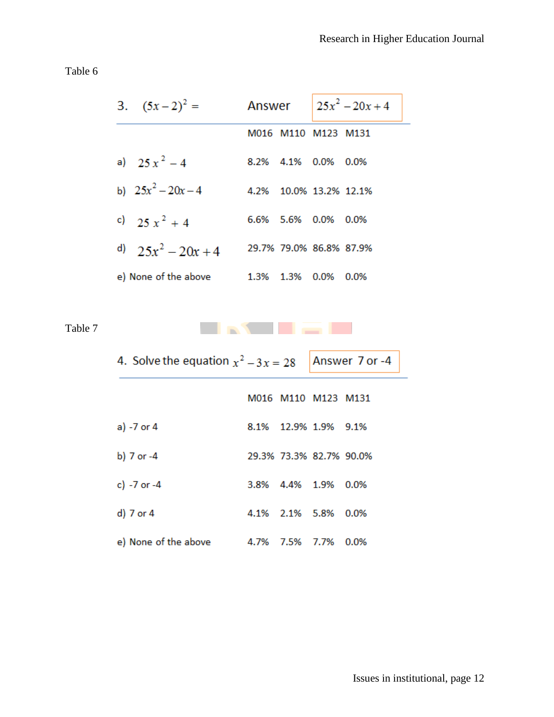Table 6

| 3. $(5x-2)^2 =$      | Answer |                                 | $25x^2 - 20x + 4$ |  |
|----------------------|--------|---------------------------------|-------------------|--|
|                      |        | M016 M110 M123 M131             |                   |  |
| a) $25x^2-4$         |        | 8.2% 4.1% 0.0% 0.0%             |                   |  |
| b) $25x^2 - 20x - 4$ |        | 4.2% 10.0% 13.2% 12.1%          |                   |  |
| c) $25x^2 + 4$       |        | 6.6% 5.6% 0.0% 0.0%             |                   |  |
| d) $25x^2 - 20x + 4$ |        | 29.7% 79.0% 86.8% 87.9%         |                   |  |
| e) None of the above |        | $1.3\%$ $1.3\%$ $0.0\%$ $0.0\%$ |                   |  |

Table 7

| 4. Solve the equation $x^2 - 3x = 28$ |                         | Answer 7 or -4 |
|---------------------------------------|-------------------------|----------------|
|                                       | M016 M110 M123 M131     |                |
| a) -7 or 4                            | 8.1% 12.9% 1.9% 9.1%    |                |
| b) 7 or -4                            | 29.3% 73.3% 82.7% 90.0% |                |
| c) $-7$ or $-4$                       | 3.8% 4.4% 1.9% 0.0%     |                |
| d) 7 or 4                             | 4.1% 2.1% 5.8% 0.0%     |                |
| e) None of the above                  | 4.7% 7.5% 7.7% 0.0%     |                |

**College College** 

m. ×  $\mathbf{r}$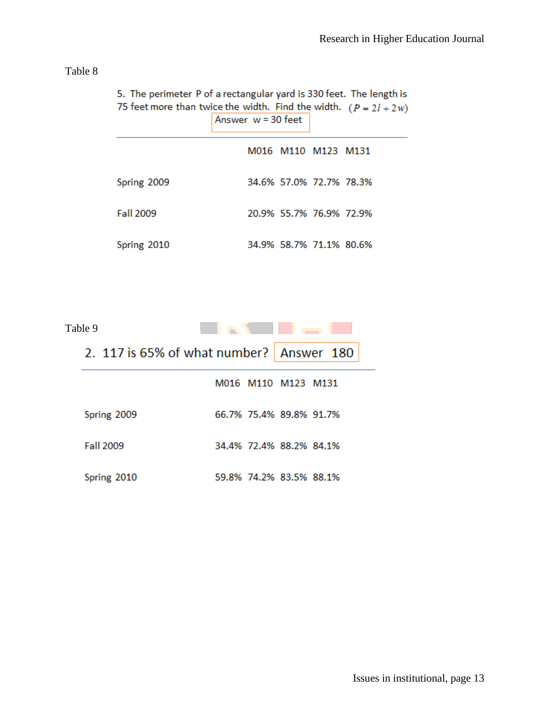| able |  |
|------|--|
|------|--|

| 3. The permeter if or a rectangular yard is 330 reet. The length is<br>75 feet more than twice the width. Find the width. $(P = 2l + 2w)$ | Answer $w = 30$ feet |                         |  |
|-------------------------------------------------------------------------------------------------------------------------------------------|----------------------|-------------------------|--|
|                                                                                                                                           |                      | M016 M110 M123 M131     |  |
| Spring 2009                                                                                                                               |                      | 34.6% 57.0% 72.7% 78.3% |  |
| <b>Fall 2009</b>                                                                                                                          |                      | 20.9% 55.7% 76.9% 72.9% |  |
| Spring 2010                                                                                                                               |                      | 34.9% 58.7% 71.1% 80.6% |  |

| Table 9     |                                          |  |
|-------------|------------------------------------------|--|
|             | 2. 117 is 65% of what number? Answer 180 |  |
|             | M016 M110 M123 M131                      |  |
| Spring 2009 | 66.7% 75.4% 89.8% 91.7%                  |  |
| Fall 2009   | 34.4% 72.4% 88.2% 84.1%                  |  |
| Spring 2010 | 59.8% 74.2% 83.5% 88.1%                  |  |

5. The perimeter P of a rectangular vard is 330 feet. The length is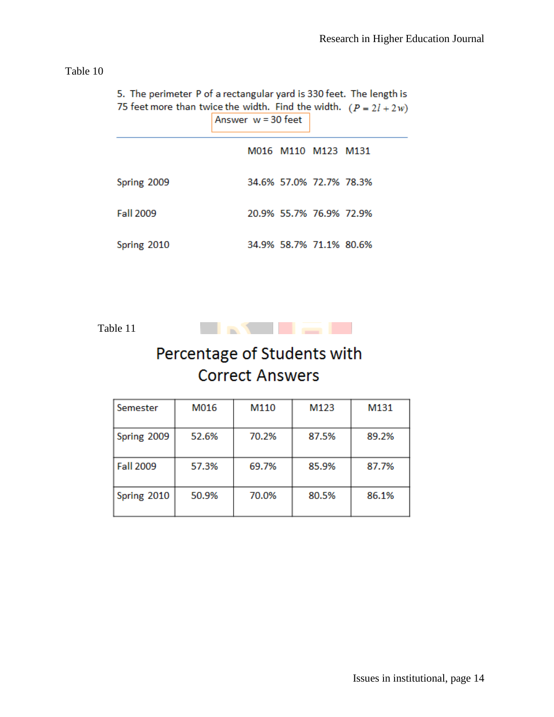Table 10

| 5. The perimeter P of a rectangular yard is 330 feet. The length is<br>75 feet more than twice the width. Find the width. $(P = 2l + 2w)$ | Answer $w = 30$ feet |                         |  |
|-------------------------------------------------------------------------------------------------------------------------------------------|----------------------|-------------------------|--|
|                                                                                                                                           |                      | M016 M110 M123 M131     |  |
| Spring 2009                                                                                                                               |                      | 34.6% 57.0% 72.7% 78.3% |  |
| Fall 2009                                                                                                                                 |                      | 20.9% 55.7% 76.9% 72.9% |  |
| Spring 2010                                                                                                                               |                      | 34.9% 58.7% 71.1% 80.6% |  |

Table 11



# Percentage of Students with **Correct Answers**

| Semester         | M016  | M110  | M123  | M131  |
|------------------|-------|-------|-------|-------|
| Spring 2009      | 52.6% | 70.2% | 87.5% | 89.2% |
| <b>Fall 2009</b> | 57.3% | 69.7% | 85.9% | 87.7% |
| Spring 2010      | 50.9% | 70.0% | 80.5% | 86.1% |